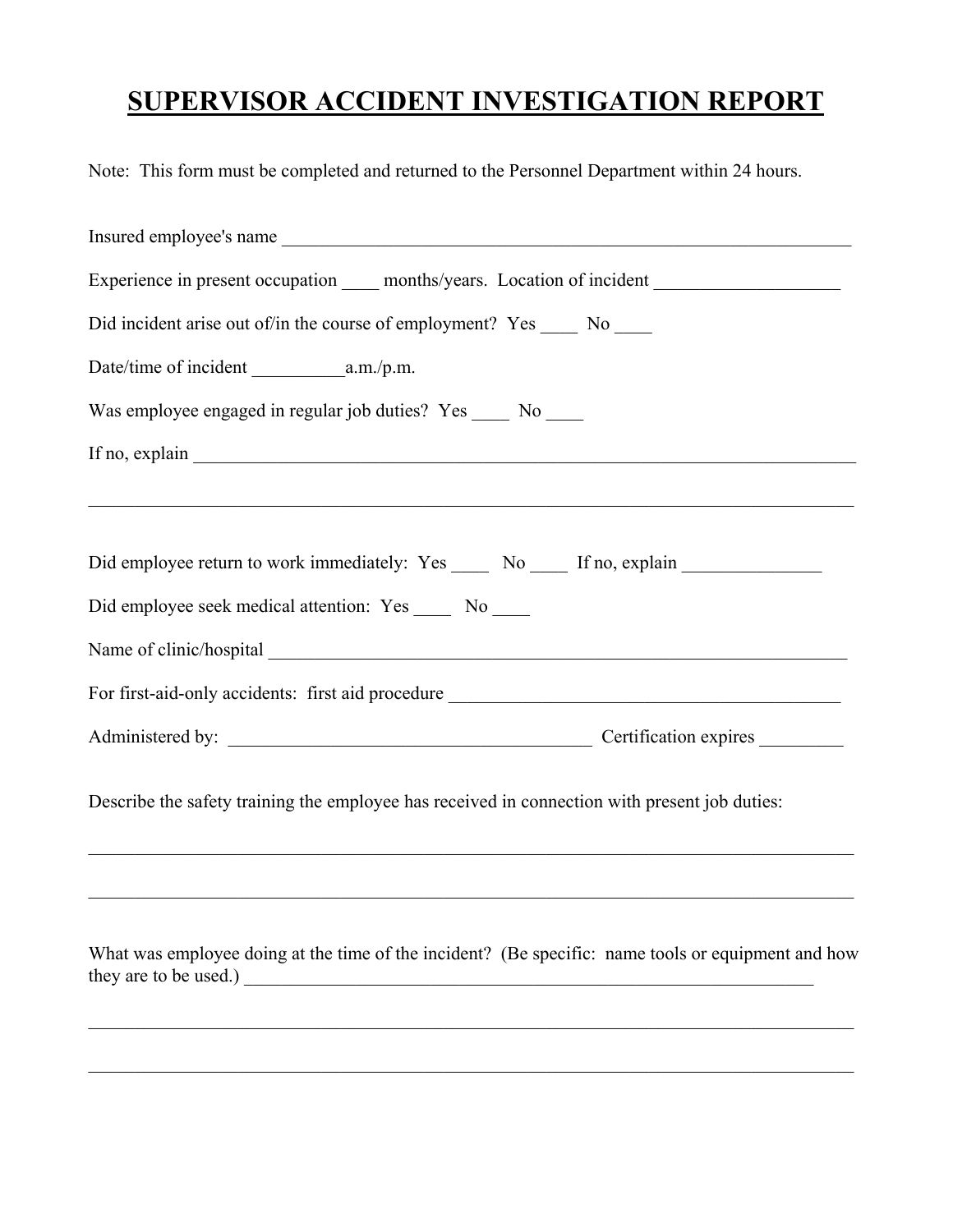## **SUPERVISOR ACCIDENT INVESTIGATION REPORT**

Note: This form must be completed and returned to the Personnel Department within 24 hours.

| Insured employee's name                                                                             |
|-----------------------------------------------------------------------------------------------------|
| Experience in present occupation _____ months/years. Location of incident _________________________ |
| Did incident arise out of/in the course of employment? Yes ______ No _____                          |
|                                                                                                     |
| Was employee engaged in regular job duties? Yes _____ No _____                                      |
|                                                                                                     |
|                                                                                                     |
| Did employee return to work immediately: Yes _____ No ____ If no, explain _____________             |
| Did employee seek medical attention: Yes _____ No ____                                              |
|                                                                                                     |
| For first-aid-only accidents: first aid procedure _______________________________                   |
|                                                                                                     |
| Describe the safety training the employee has received in connection with present job duties:       |
|                                                                                                     |
| What was employee doing at the time of the incident? (Be specific: name tools or equipment and how  |
|                                                                                                     |